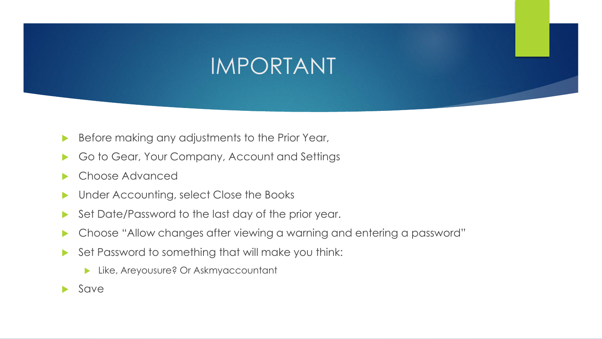# IMPORTANT

- Before making any adjustments to the Prior Year,
- Go to Gear, Your Company, Account and Settings
- Choose Advanced
- **Inder Accounting, select Close the Books**
- Set Date/Password to the last day of the prior year.
- Choose "Allow changes after viewing a warning and entering a password"
- Set Password to something that will make you think:
	- **Like, Areyousure? Or Askmyaccountant**
- Save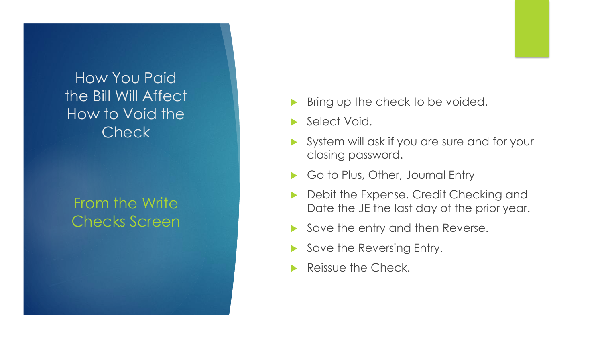## How You Paid the Bill Will Affect How to Void the Check

## From the Write Checks Screen

- Bring up the check to be voided.
- Select Void.
- System will ask if you are sure and for your closing password.
- Go to Plus, Other, Journal Entry
- Debit the Expense, Credit Checking and Date the JE the last day of the prior year.
- Save the entry and then Reverse.
- Save the Reversing Entry.
- Reissue the Check.